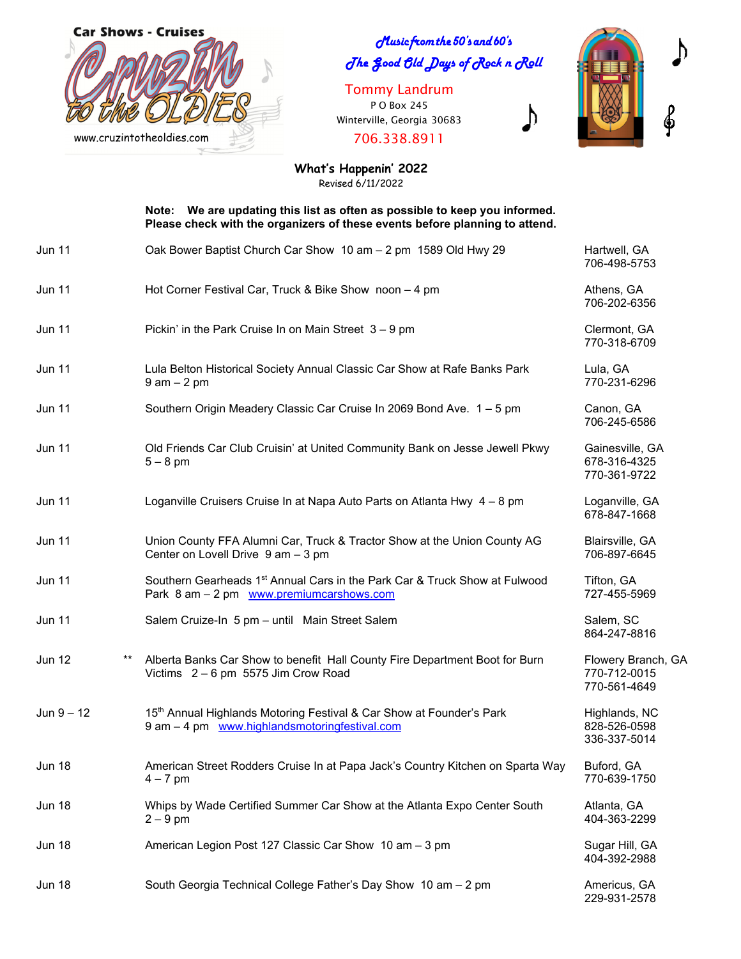

clusic from the 50's and 60's The **Good Gld** Days of Rock n Roll

Tommy Landrum P O Box 245 Winterville, Georgia 30683

706.338.8911



 $\bigtriangledown$ 

**What's Happenin' 2022** Revised 6/11/2022

 **Note: We are updating this list as often as possible to keep you informed. Please check with the organizers of these events before planning to attend.** 

| <b>Jun 11</b> |       | Oak Bower Baptist Church Car Show 10 am - 2 pm 1589 Old Hwy 29                                                                     | Hartwell, GA<br>706-498-5753                       |
|---------------|-------|------------------------------------------------------------------------------------------------------------------------------------|----------------------------------------------------|
| <b>Jun 11</b> |       | Hot Corner Festival Car, Truck & Bike Show noon - 4 pm                                                                             | Athens, GA<br>706-202-6356                         |
| <b>Jun 11</b> |       | Pickin' in the Park Cruise In on Main Street $3 - 9$ pm                                                                            | Clermont, GA<br>770-318-6709                       |
| <b>Jun 11</b> |       | Lula Belton Historical Society Annual Classic Car Show at Rafe Banks Park<br>$9$ am $-2$ pm                                        | Lula, GA<br>770-231-6296                           |
| <b>Jun 11</b> |       | Southern Origin Meadery Classic Car Cruise In 2069 Bond Ave. 1 - 5 pm                                                              | Canon, GA<br>706-245-6586                          |
| <b>Jun 11</b> |       | Old Friends Car Club Cruisin' at United Community Bank on Jesse Jewell Pkwy<br>$5 - 8$ pm                                          | Gainesville, GA<br>678-316-4325<br>770-361-9722    |
| <b>Jun 11</b> |       | Loganville Cruisers Cruise In at Napa Auto Parts on Atlanta Hwy 4 - 8 pm                                                           | Loganville, GA<br>678-847-1668                     |
| <b>Jun 11</b> |       | Union County FFA Alumni Car, Truck & Tractor Show at the Union County AG<br>Center on Lovell Drive 9 am - 3 pm                     | Blairsville, GA<br>706-897-6645                    |
| <b>Jun 11</b> |       | Southern Gearheads 1 <sup>st</sup> Annual Cars in the Park Car & Truck Show at Fulwood<br>Park 8 am - 2 pm www.premiumcarshows.com | Tifton, GA<br>727-455-5969                         |
| Jun 11        |       | Salem Cruize-In 5 pm - until Main Street Salem                                                                                     | Salem, SC<br>864-247-8816                          |
| <b>Jun 12</b> | $***$ | Alberta Banks Car Show to benefit Hall County Fire Department Boot for Burn<br>Victims 2 - 6 pm 5575 Jim Crow Road                 | Flowery Branch, GA<br>770-712-0015<br>770-561-4649 |
| $Jun 9 - 12$  |       | 15th Annual Highlands Motoring Festival & Car Show at Founder's Park<br>9 am - 4 pm www.highlandsmotoringfestival.com              | Highlands, NC<br>828-526-0598<br>336-337-5014      |
| <b>Jun 18</b> |       | American Street Rodders Cruise In at Papa Jack's Country Kitchen on Sparta Way<br>$4 - 7$ pm                                       | Buford, GA<br>770-639-1750                         |
| <b>Jun 18</b> |       | Whips by Wade Certified Summer Car Show at the Atlanta Expo Center South<br>$2 - 9$ pm                                             | Atlanta, GA<br>404-363-2299                        |
| <b>Jun 18</b> |       | American Legion Post 127 Classic Car Show 10 am - 3 pm                                                                             | Sugar Hill, GA<br>404-392-2988                     |
| <b>Jun 18</b> |       | South Georgia Technical College Father's Day Show 10 am - 2 pm                                                                     | Americus, GA<br>229-931-2578                       |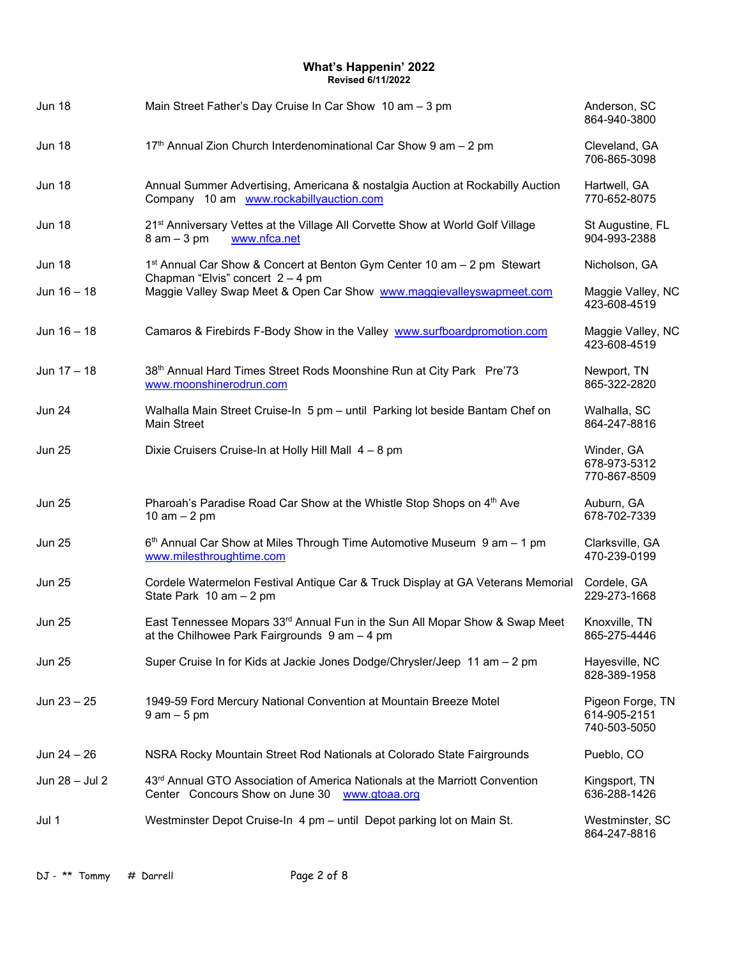| <b>Jun 18</b>  | Main Street Father's Day Cruise In Car Show 10 am - 3 pm                                                                        | Anderson, SC<br>864-940-3800                     |
|----------------|---------------------------------------------------------------------------------------------------------------------------------|--------------------------------------------------|
| <b>Jun 18</b>  | 17 <sup>th</sup> Annual Zion Church Interdenominational Car Show 9 am - 2 pm                                                    | Cleveland, GA<br>706-865-3098                    |
| <b>Jun 18</b>  | Annual Summer Advertising, Americana & nostalgia Auction at Rockabilly Auction<br>Company 10 am www.rockabillyauction.com       | Hartwell, GA<br>770-652-8075                     |
| <b>Jun 18</b>  | 21 <sup>st</sup> Anniversary Vettes at the Village All Corvette Show at World Golf Village<br>$8$ am $-3$ pm<br>www.nfca.net    | St Augustine, FL<br>904-993-2388                 |
| <b>Jun 18</b>  | 1 <sup>st</sup> Annual Car Show & Concert at Benton Gym Center 10 am – 2 pm Stewart<br>Chapman "Elvis" concert $2 - 4$ pm       | Nicholson, GA                                    |
| Jun 16 - 18    | Maggie Valley Swap Meet & Open Car Show www.maggievalleyswapmeet.com                                                            | Maggie Valley, NC<br>423-608-4519                |
| Jun $16 - 18$  | Camaros & Firebirds F-Body Show in the Valley www.surfboardpromotion.com                                                        | Maggie Valley, NC<br>423-608-4519                |
| Jun $17 - 18$  | 38th Annual Hard Times Street Rods Moonshine Run at City Park Pre'73<br>www.moonshinerodrun.com                                 | Newport, TN<br>865-322-2820                      |
| <b>Jun 24</b>  | Walhalla Main Street Cruise-In 5 pm - until Parking lot beside Bantam Chef on<br>Main Street                                    | Walhalla, SC<br>864-247-8816                     |
| <b>Jun 25</b>  | Dixie Cruisers Cruise-In at Holly Hill Mall 4 - 8 pm                                                                            | Winder, GA<br>678-973-5312<br>770-867-8509       |
| <b>Jun 25</b>  | Pharoah's Paradise Road Car Show at the Whistle Stop Shops on 4th Ave<br>10 am $-$ 2 pm                                         | Auburn, GA<br>678-702-7339                       |
| <b>Jun 25</b>  | 6 <sup>th</sup> Annual Car Show at Miles Through Time Automotive Museum 9 am - 1 pm<br>www.milesthroughtime.com                 | Clarksville, GA<br>470-239-0199                  |
| <b>Jun 25</b>  | Cordele Watermelon Festival Antique Car & Truck Display at GA Veterans Memorial<br>State Park 10 am - 2 pm                      | Cordele, GA<br>229-273-1668                      |
| <b>Jun 25</b>  | East Tennessee Mopars 33rd Annual Fun in the Sun All Mopar Show & Swap Meet<br>at the Chilhowee Park Fairgrounds 9 am - 4 pm    | Knoxville, TN<br>865-275-4446                    |
| <b>Jun 25</b>  | Super Cruise In for Kids at Jackie Jones Dodge/Chrysler/Jeep 11 am - 2 pm                                                       | Hayesville, NC<br>828-389-1958                   |
| Jun $23 - 25$  | 1949-59 Ford Mercury National Convention at Mountain Breeze Motel<br>$9$ am $-5$ pm                                             | Pigeon Forge, TN<br>614-905-2151<br>740-503-5050 |
| Jun $24 - 26$  | NSRA Rocky Mountain Street Rod Nationals at Colorado State Fairgrounds                                                          | Pueblo, CO                                       |
| Jun 28 - Jul 2 | 43rd Annual GTO Association of America Nationals at the Marriott Convention<br>Center Concours Show on June 30<br>www.gtoaa.org | Kingsport, TN<br>636-288-1426                    |
| Jul 1          | Westminster Depot Cruise-In 4 pm - until Depot parking lot on Main St.                                                          | Westminster, SC<br>864-247-8816                  |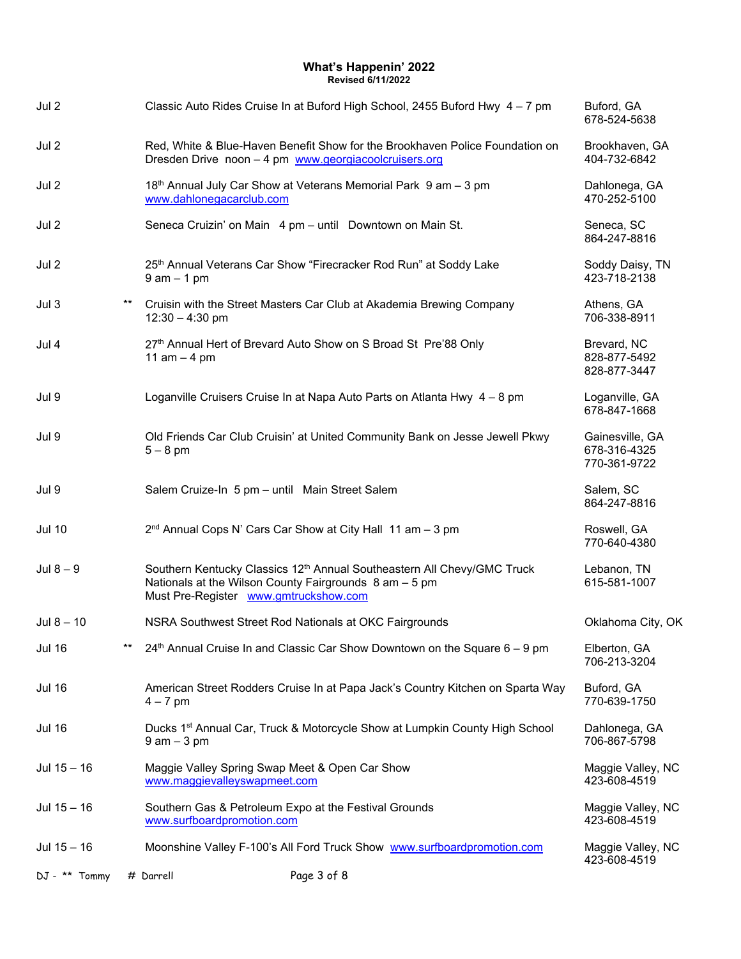| Jul 2         |       |                                                                                                         | Classic Auto Rides Cruise In at Buford High School, 2455 Buford Hwy 4 - 7 pm            | Buford, GA<br>678-524-5638                      |
|---------------|-------|---------------------------------------------------------------------------------------------------------|-----------------------------------------------------------------------------------------|-------------------------------------------------|
| Jul 2         |       | Dresden Drive noon - 4 pm www.georgiacoolcruisers.org                                                   | Red, White & Blue-Haven Benefit Show for the Brookhaven Police Foundation on            | Brookhaven, GA<br>404-732-6842                  |
| Jul 2         |       | 18 <sup>th</sup> Annual July Car Show at Veterans Memorial Park 9 am - 3 pm<br>www.dahlonegacarclub.com |                                                                                         | Dahlonega, GA<br>470-252-5100                   |
| Jul 2         |       | Seneca Cruizin' on Main 4 pm - until Downtown on Main St.                                               |                                                                                         | Seneca, SC<br>864-247-8816                      |
| Jul 2         |       | 25 <sup>th</sup> Annual Veterans Car Show "Firecracker Rod Run" at Soddy Lake<br>$9$ am $-1$ pm         |                                                                                         | Soddy Daisy, TN<br>423-718-2138                 |
| Jul 3         | $***$ | Cruisin with the Street Masters Car Club at Akademia Brewing Company<br>$12:30 - 4:30$ pm               |                                                                                         | Athens, GA<br>706-338-8911                      |
| Jul 4         |       | 27th Annual Hert of Brevard Auto Show on S Broad St Pre'88 Only<br>11 $am - 4 pm$                       |                                                                                         | Brevard, NC<br>828-877-5492<br>828-877-3447     |
| Jul 9         |       |                                                                                                         | Loganville Cruisers Cruise In at Napa Auto Parts on Atlanta Hwy 4 - 8 pm                | Loganville, GA<br>678-847-1668                  |
| Jul 9         |       | $5-8$ pm                                                                                                | Old Friends Car Club Cruisin' at United Community Bank on Jesse Jewell Pkwy             | Gainesville, GA<br>678-316-4325<br>770-361-9722 |
| Jul 9         |       | Salem Cruize-In 5 pm - until Main Street Salem                                                          |                                                                                         | Salem, SC<br>864-247-8816                       |
| <b>Jul 10</b> |       | 2 <sup>nd</sup> Annual Cops N' Cars Car Show at City Hall 11 am - 3 pm                                  |                                                                                         | Roswell, GA<br>770-640-4380                     |
| Jul $8-9$     |       | Nationals at the Wilson County Fairgrounds $8$ am $-5$ pm<br>Must Pre-Register www.gmtruckshow.com      | Southern Kentucky Classics 12 <sup>th</sup> Annual Southeastern All Chevy/GMC Truck     | Lebanon, TN<br>615-581-1007                     |
| Jul $8 - 10$  |       | NSRA Southwest Street Rod Nationals at OKC Fairgrounds                                                  |                                                                                         | Oklahoma City, OK                               |
| <b>Jul 16</b> | $***$ |                                                                                                         | $24th$ Annual Cruise In and Classic Car Show Downtown on the Square 6 – 9 pm            | Elberton, GA<br>706-213-3204                    |
| <b>Jul 16</b> |       | $4 - 7$ pm                                                                                              | American Street Rodders Cruise In at Papa Jack's Country Kitchen on Sparta Way          | Buford, GA<br>770-639-1750                      |
| <b>Jul 16</b> |       | $9$ am $-3$ pm                                                                                          | Ducks 1 <sup>st</sup> Annual Car, Truck & Motorcycle Show at Lumpkin County High School | Dahlonega, GA<br>706-867-5798                   |
| Jul $15 - 16$ |       | Maggie Valley Spring Swap Meet & Open Car Show<br>www.maggievalleyswapmeet.com                          |                                                                                         | Maggie Valley, NC<br>423-608-4519               |
| Jul $15 - 16$ |       | Southern Gas & Petroleum Expo at the Festival Grounds<br>www.surfboardpromotion.com                     |                                                                                         | Maggie Valley, NC<br>423-608-4519               |
| Jul $15 - 16$ |       |                                                                                                         | Moonshine Valley F-100's All Ford Truck Show www.surfboardpromotion.com                 | Maggie Valley, NC<br>423-608-4519               |
| DJ - ** Tommy |       | Page 3 of 8<br># Darrell                                                                                |                                                                                         |                                                 |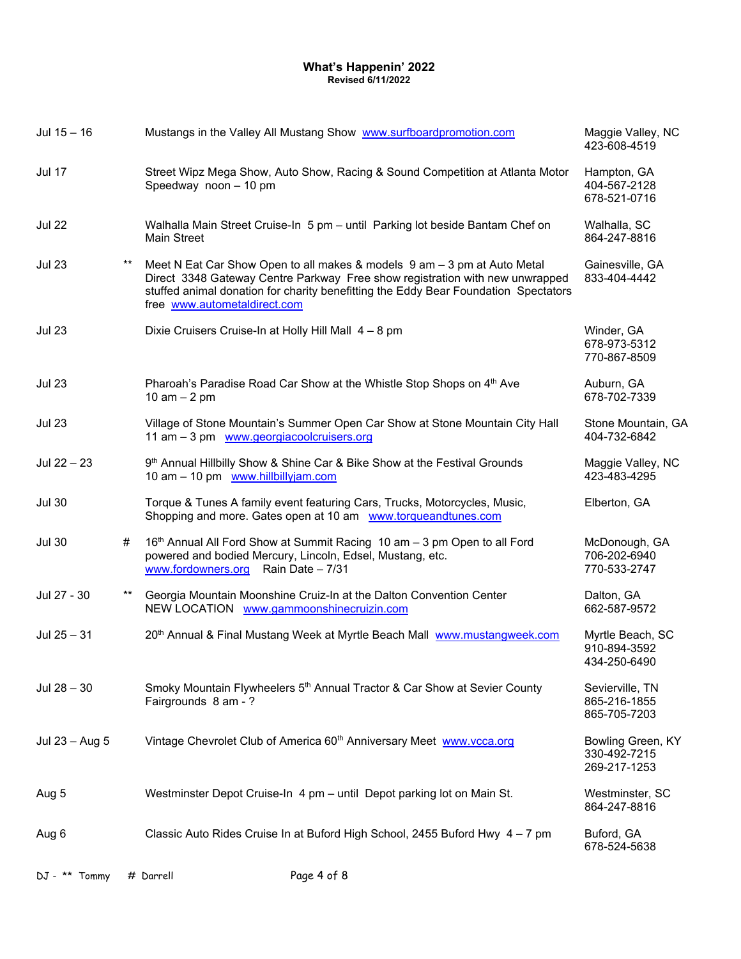| Jul $15 - 16$  |                 | Mustangs in the Valley All Mustang Show www.surfboardpromotion.com                                                                                                                                                                                                              | Maggie Valley, NC<br>423-608-4519                 |
|----------------|-----------------|---------------------------------------------------------------------------------------------------------------------------------------------------------------------------------------------------------------------------------------------------------------------------------|---------------------------------------------------|
| <b>Jul 17</b>  |                 | Street Wipz Mega Show, Auto Show, Racing & Sound Competition at Atlanta Motor<br>Speedway noon - 10 pm                                                                                                                                                                          | Hampton, GA<br>404-567-2128<br>678-521-0716       |
| <b>Jul 22</b>  |                 | Walhalla Main Street Cruise-In 5 pm - until Parking lot beside Bantam Chef on<br><b>Main Street</b>                                                                                                                                                                             | Walhalla, SC<br>864-247-8816                      |
| <b>Jul 23</b>  | $^{\star\star}$ | Meet N Eat Car Show Open to all makes & models 9 am - 3 pm at Auto Metal<br>Direct 3348 Gateway Centre Parkway Free show registration with new unwrapped<br>stuffed animal donation for charity benefitting the Eddy Bear Foundation Spectators<br>free www.autometaldirect.com | Gainesville, GA<br>833-404-4442                   |
| <b>Jul 23</b>  |                 | Dixie Cruisers Cruise-In at Holly Hill Mall 4 - 8 pm                                                                                                                                                                                                                            | Winder, GA<br>678-973-5312<br>770-867-8509        |
| <b>Jul 23</b>  |                 | Pharoah's Paradise Road Car Show at the Whistle Stop Shops on 4th Ave<br>10 am $-$ 2 pm                                                                                                                                                                                         | Auburn, GA<br>678-702-7339                        |
| <b>Jul 23</b>  |                 | Village of Stone Mountain's Summer Open Car Show at Stone Mountain City Hall<br>11 am - 3 pm www.georgiacoolcruisers.org                                                                                                                                                        | Stone Mountain, GA<br>404-732-6842                |
| Jul 22 - 23    |                 | 9 <sup>th</sup> Annual Hillbilly Show & Shine Car & Bike Show at the Festival Grounds<br>10 am - 10 pm www.hillbillyjam.com                                                                                                                                                     | Maggie Valley, NC<br>423-483-4295                 |
| <b>Jul 30</b>  |                 | Torque & Tunes A family event featuring Cars, Trucks, Motorcycles, Music,<br>Shopping and more. Gates open at 10 am www.torqueandtunes.com                                                                                                                                      | Elberton, GA                                      |
| <b>Jul 30</b>  | #               | 16th Annual All Ford Show at Summit Racing 10 am - 3 pm Open to all Ford<br>powered and bodied Mercury, Lincoln, Edsel, Mustang, etc.<br>www.fordowners.org Rain Date - 7/31                                                                                                    | McDonough, GA<br>706-202-6940<br>770-533-2747     |
| Jul 27 - 30    | $^{\star\star}$ | Georgia Mountain Moonshine Cruiz-In at the Dalton Convention Center<br>NEW LOCATION www.gammoonshinecruizin.com                                                                                                                                                                 | Dalton, GA<br>662-587-9572                        |
| Jul $25 - 31$  |                 | 20th Annual & Final Mustang Week at Myrtle Beach Mall www.mustangweek.com                                                                                                                                                                                                       | Myrtle Beach, SC<br>910-894-3592<br>434-250-6490  |
| Jul $28 - 30$  |                 | Smoky Mountain Flywheelers 5 <sup>th</sup> Annual Tractor & Car Show at Sevier County<br>Fairgrounds 8 am - ?                                                                                                                                                                   | Sevierville, TN<br>865-216-1855<br>865-705-7203   |
| Jul 23 - Aug 5 |                 | Vintage Chevrolet Club of America 60 <sup>th</sup> Anniversary Meet www.vcca.org                                                                                                                                                                                                | Bowling Green, KY<br>330-492-7215<br>269-217-1253 |
| Aug 5          |                 | Westminster Depot Cruise-In 4 pm - until Depot parking lot on Main St.                                                                                                                                                                                                          | Westminster, SC<br>864-247-8816                   |
| Aug 6          |                 | Classic Auto Rides Cruise In at Buford High School, 2455 Buford Hwy 4 - 7 pm                                                                                                                                                                                                    | Buford, GA<br>678-524-5638                        |
|                |                 |                                                                                                                                                                                                                                                                                 |                                                   |

DJ - \*\* Tommy # Darrell Page 4 of 8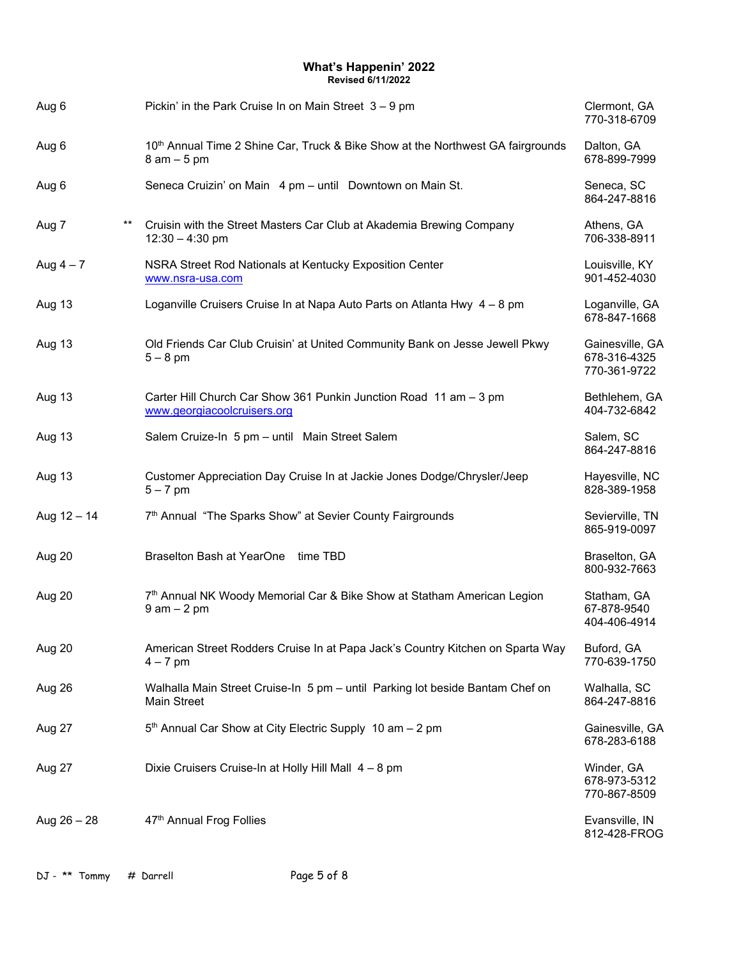| Aug 6          | Pickin' in the Park Cruise In on Main Street $3 - 9$ pm                                               | Clermont, GA<br>770-318-6709                    |
|----------------|-------------------------------------------------------------------------------------------------------|-------------------------------------------------|
| Aug 6          | 10th Annual Time 2 Shine Car, Truck & Bike Show at the Northwest GA fairgrounds<br>$8$ am $-5$ pm     | Dalton, GA<br>678-899-7999                      |
| Aug 6          | Seneca Cruizin' on Main 4 pm - until Downtown on Main St.                                             | Seneca, SC<br>864-247-8816                      |
| $***$<br>Aug 7 | Cruisin with the Street Masters Car Club at Akademia Brewing Company<br>$12:30 - 4:30$ pm             | Athens, GA<br>706-338-8911                      |
| Aug $4-7$      | NSRA Street Rod Nationals at Kentucky Exposition Center<br>www.nsra-usa.com                           | Louisville, KY<br>901-452-4030                  |
| Aug 13         | Loganville Cruisers Cruise In at Napa Auto Parts on Atlanta Hwy 4 - 8 pm                              | Loganville, GA<br>678-847-1668                  |
| Aug 13         | Old Friends Car Club Cruisin' at United Community Bank on Jesse Jewell Pkwy<br>$5-8$ pm               | Gainesville, GA<br>678-316-4325<br>770-361-9722 |
| Aug 13         | Carter Hill Church Car Show 361 Punkin Junction Road 11 am - 3 pm<br>www.georgiacoolcruisers.org      | Bethlehem, GA<br>404-732-6842                   |
| Aug 13         | Salem Cruize-In 5 pm - until Main Street Salem                                                        | Salem, SC<br>864-247-8816                       |
| Aug 13         | Customer Appreciation Day Cruise In at Jackie Jones Dodge/Chrysler/Jeep<br>$5 - 7$ pm                 | Hayesville, NC<br>828-389-1958                  |
| Aug $12 - 14$  | 7 <sup>th</sup> Annual "The Sparks Show" at Sevier County Fairgrounds                                 | Sevierville, TN<br>865-919-0097                 |
| Aug 20         | Braselton Bash at YearOne time TBD                                                                    | Braselton, GA<br>800-932-7663                   |
| Aug 20         | 7 <sup>th</sup> Annual NK Woody Memorial Car & Bike Show at Statham American Legion<br>$9$ am $-2$ pm | Statham, GA<br>67-878-9540<br>404-406-4914      |
| Aug 20         | American Street Rodders Cruise In at Papa Jack's Country Kitchen on Sparta Way<br>$4 - 7$ pm          | Buford, GA<br>770-639-1750                      |
| Aug 26         | Walhalla Main Street Cruise-In 5 pm - until Parking lot beside Bantam Chef on<br>Main Street          | Walhalla, SC<br>864-247-8816                    |
| Aug 27         | 5 <sup>th</sup> Annual Car Show at City Electric Supply 10 am - 2 pm                                  | Gainesville, GA<br>678-283-6188                 |
| Aug 27         | Dixie Cruisers Cruise-In at Holly Hill Mall 4 - 8 pm                                                  | Winder, GA<br>678-973-5312<br>770-867-8509      |
| Aug $26 - 28$  | 47th Annual Frog Follies                                                                              | Evansville, IN<br>812-428-FROG                  |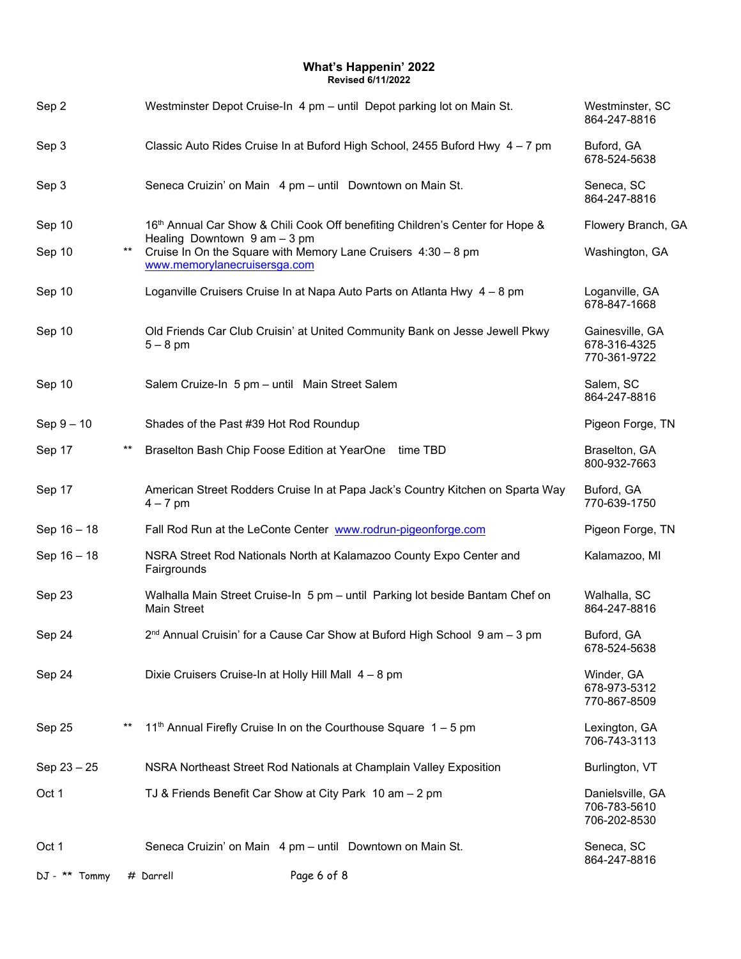| Sep 2           |                 | Westminster Depot Cruise-In 4 pm - until Depot parking lot on Main St.                                                           | Westminster, SC<br>864-247-8816                  |
|-----------------|-----------------|----------------------------------------------------------------------------------------------------------------------------------|--------------------------------------------------|
| Sep 3           |                 | Classic Auto Rides Cruise In at Buford High School, 2455 Buford Hwy 4 - 7 pm                                                     | Buford, GA<br>678-524-5638                       |
| Sep 3           |                 | Seneca Cruizin' on Main 4 pm - until Downtown on Main St.                                                                        | Seneca, SC<br>864-247-8816                       |
| Sep 10          |                 | 16th Annual Car Show & Chili Cook Off benefiting Children's Center for Hope &                                                    | Flowery Branch, GA                               |
| Sep 10          | $***$           | Healing Downtown $9$ am $-3$ pm<br>Cruise In On the Square with Memory Lane Cruisers 4:30 - 8 pm<br>www.memorylanecruisersga.com | Washington, GA                                   |
| Sep 10          |                 | Loganville Cruisers Cruise In at Napa Auto Parts on Atlanta Hwy 4 - 8 pm                                                         | Loganville, GA<br>678-847-1668                   |
| Sep 10          |                 | Old Friends Car Club Cruisin' at United Community Bank on Jesse Jewell Pkwy<br>$5 - 8$ pm                                        | Gainesville, GA<br>678-316-4325<br>770-361-9722  |
| Sep 10          |                 | Salem Cruize-In 5 pm - until Main Street Salem                                                                                   | Salem, SC<br>864-247-8816                        |
| $Sep 9 - 10$    |                 | Shades of the Past #39 Hot Rod Roundup                                                                                           | Pigeon Forge, TN                                 |
| Sep 17          | $***$           | Braselton Bash Chip Foose Edition at YearOne time TBD                                                                            | Braselton, GA<br>800-932-7663                    |
| Sep 17          |                 | American Street Rodders Cruise In at Papa Jack's Country Kitchen on Sparta Way<br>$4 - 7$ pm                                     | Buford, GA<br>770-639-1750                       |
| Sep 16 - 18     |                 | Fall Rod Run at the LeConte Center www.rodrun-pigeonforge.com                                                                    | Pigeon Forge, TN                                 |
| Sep 16 - 18     |                 | NSRA Street Rod Nationals North at Kalamazoo County Expo Center and<br>Fairgrounds                                               | Kalamazoo, MI                                    |
| Sep 23          |                 | Walhalla Main Street Cruise-In 5 pm - until Parking lot beside Bantam Chef on<br><b>Main Street</b>                              | Walhalla, SC<br>864-247-8816                     |
| Sep 24          |                 | 2 <sup>nd</sup> Annual Cruisin' for a Cause Car Show at Buford High School 9 am - 3 pm                                           | Buford, GA<br>678-524-5638                       |
| Sep 24          |                 | Dixie Cruisers Cruise-In at Holly Hill Mall 4 - 8 pm                                                                             | Winder, GA<br>678-973-5312<br>770-867-8509       |
| Sep 25          | $^{\star\star}$ | 11 <sup>th</sup> Annual Firefly Cruise In on the Courthouse Square 1 - 5 pm                                                      | Lexington, GA<br>706-743-3113                    |
| $Sep 23 - 25$   |                 | NSRA Northeast Street Rod Nationals at Champlain Valley Exposition                                                               | Burlington, VT                                   |
| Oct 1           |                 | TJ & Friends Benefit Car Show at City Park 10 am - 2 pm                                                                          | Danielsville, GA<br>706-783-5610<br>706-202-8530 |
| Oct 1           |                 | Seneca Cruizin' on Main 4 pm - until Downtown on Main St.                                                                        | Seneca, SC<br>864-247-8816                       |
| $DJ - ** Tommy$ |                 | Page 6 of 8<br># Darrell                                                                                                         |                                                  |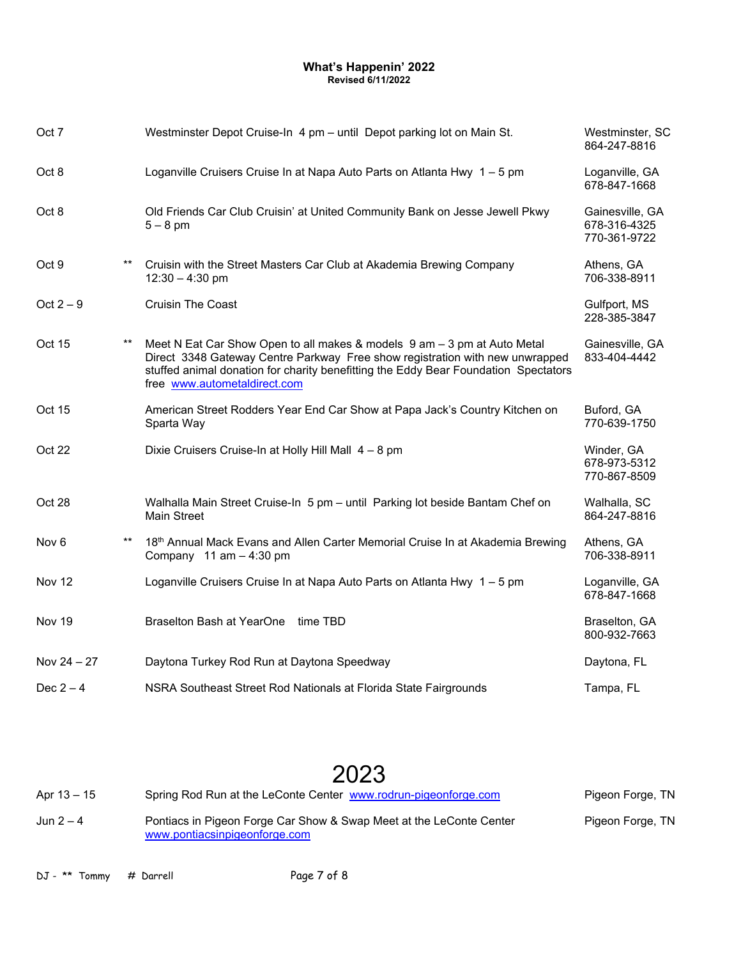| Oct 7            |                 | Westminster Depot Cruise-In 4 pm - until Depot parking lot on Main St.                                                                                                                                                                                                          | Westminster, SC<br>864-247-8816                 |
|------------------|-----------------|---------------------------------------------------------------------------------------------------------------------------------------------------------------------------------------------------------------------------------------------------------------------------------|-------------------------------------------------|
| Oct 8            |                 | Loganville Cruisers Cruise In at Napa Auto Parts on Atlanta Hwy 1 - 5 pm                                                                                                                                                                                                        | Loganville, GA<br>678-847-1668                  |
| Oct 8            |                 | Old Friends Car Club Cruisin' at United Community Bank on Jesse Jewell Pkwy<br>$5-8$ pm                                                                                                                                                                                         | Gainesville, GA<br>678-316-4325<br>770-361-9722 |
| Oct 9            | $***$           | Cruisin with the Street Masters Car Club at Akademia Brewing Company<br>$12:30 - 4:30$ pm                                                                                                                                                                                       | Athens, GA<br>706-338-8911                      |
| Oct $2-9$        |                 | <b>Cruisin The Coast</b>                                                                                                                                                                                                                                                        | Gulfport, MS<br>228-385-3847                    |
| Oct 15           | $***$           | Meet N Eat Car Show Open to all makes & models 9 am - 3 pm at Auto Metal<br>Direct 3348 Gateway Centre Parkway Free show registration with new unwrapped<br>stuffed animal donation for charity benefitting the Eddy Bear Foundation Spectators<br>free www.autometaldirect.com | Gainesville, GA<br>833-404-4442                 |
| Oct 15           |                 | American Street Rodders Year End Car Show at Papa Jack's Country Kitchen on<br>Sparta Way                                                                                                                                                                                       | Buford, GA<br>770-639-1750                      |
| Oct 22           |                 | Dixie Cruisers Cruise-In at Holly Hill Mall 4 - 8 pm                                                                                                                                                                                                                            | Winder, GA<br>678-973-5312<br>770-867-8509      |
| Oct 28           |                 | Walhalla Main Street Cruise-In 5 pm - until Parking lot beside Bantam Chef on<br><b>Main Street</b>                                                                                                                                                                             | Walhalla, SC<br>864-247-8816                    |
| Nov <sub>6</sub> | $^{\star\star}$ | 18th Annual Mack Evans and Allen Carter Memorial Cruise In at Akademia Brewing<br>Company $11$ am $-4:30$ pm                                                                                                                                                                    | Athens, GA<br>706-338-8911                      |
| Nov 12           |                 | Loganville Cruisers Cruise In at Napa Auto Parts on Atlanta Hwy 1 - 5 pm                                                                                                                                                                                                        | Loganville, GA<br>678-847-1668                  |
| Nov 19           |                 | Braselton Bash at YearOne time TBD                                                                                                                                                                                                                                              | Braselton, GA<br>800-932-7663                   |
| Nov $24 - 27$    |                 | Daytona Turkey Rod Run at Daytona Speedway                                                                                                                                                                                                                                      | Daytona, FL                                     |
| Dec $2-4$        |                 | NSRA Southeast Street Rod Nationals at Florida State Fairgrounds                                                                                                                                                                                                                | Tampa, FL                                       |

# 2023

| Apr $13 - 15$ | Spring Rod Run at the LeConte Center www.rodrun-pigeonforge.com                                      | Pigeon Forge, TN |
|---------------|------------------------------------------------------------------------------------------------------|------------------|
| Jun $2-4$     | Pontiacs in Pigeon Forge Car Show & Swap Meet at the LeConte Center<br>www.pontiacsinpigeonforge.com | Pigeon Forge, TN |

DJ - \*\* Tommy # Darrell Page 7 of 8